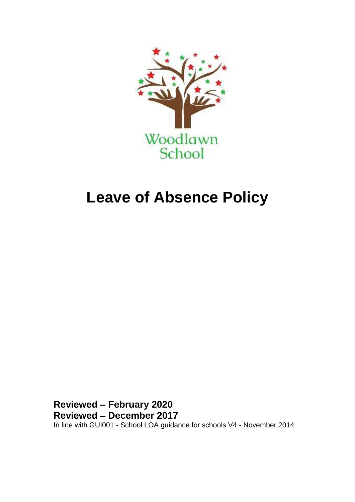

# **Leave of Absence Policy**

**Reviewed – February 2020 Reviewed – December 2017** In line with GUI001 - School LOA guidance for schools V4 - November 2014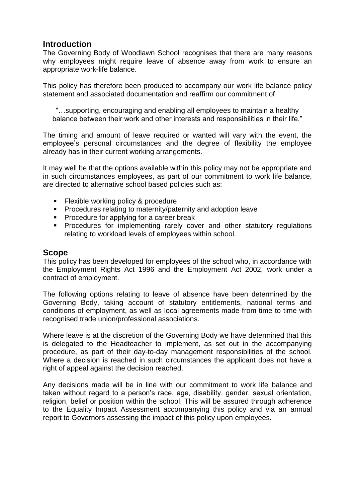#### **Introduction**

The Governing Body of Woodlawn School recognises that there are many reasons why employees might require leave of absence away from work to ensure an appropriate work-life balance.

This policy has therefore been produced to accompany our work life balance policy statement and associated documentation and reaffirm our commitment of

"…supporting, encouraging and enabling all employees to maintain a healthy balance between their work and other interests and responsibilities in their life."

The timing and amount of leave required or wanted will vary with the event, the employee's personal circumstances and the degree of flexibility the employee already has in their current working arrangements.

It may well be that the options available within this policy may not be appropriate and in such circumstances employees, as part of our commitment to work life balance, are directed to alternative school based policies such as:

- **Flexible working policy & procedure**
- **Procedures relating to maternity/paternity and adoption leave**
- **Procedure for applying for a career break**
- **Procedures for implementing rarely cover and other statutory regulations** relating to workload levels of employees within school.

#### **Scope**

This policy has been developed for employees of the school who, in accordance with the Employment Rights Act 1996 and the Employment Act 2002, work under a contract of employment.

The following options relating to leave of absence have been determined by the Governing Body, taking account of statutory entitlements, national terms and conditions of employment, as well as local agreements made from time to time with recognised trade union/professional associations.

Where leave is at the discretion of the Governing Body we have determined that this is delegated to the Headteacher to implement, as set out in the accompanying procedure, as part of their day-to-day management responsibilities of the school. Where a decision is reached in such circumstances the applicant does not have a right of appeal against the decision reached.

Any decisions made will be in line with our commitment to work life balance and taken without regard to a person's race, age, disability, gender, sexual orientation, religion, belief or position within the school. This will be assured through adherence to the Equality Impact Assessment accompanying this policy and via an annual report to Governors assessing the impact of this policy upon employees.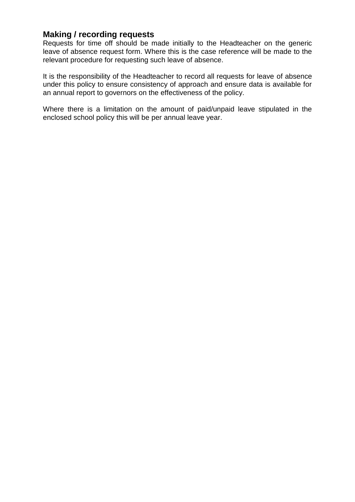#### **Making / recording requests**

Requests for time off should be made initially to the Headteacher on the generic leave of absence request form. Where this is the case reference will be made to the relevant procedure for requesting such leave of absence.

It is the responsibility of the Headteacher to record all requests for leave of absence under this policy to ensure consistency of approach and ensure data is available for an annual report to governors on the effectiveness of the policy.

Where there is a limitation on the amount of paid/unpaid leave stipulated in the enclosed school policy this will be per annual leave year.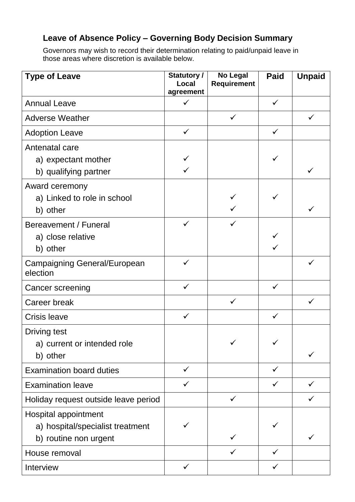# **Leave of Absence Policy – Governing Body Decision Summary**

Governors may wish to record their determination relating to paid/unpaid leave in those areas where discretion is available below.

| <b>Type of Leave</b>                            | <b>Statutory /</b><br>Local<br>agreement | No Legal<br><b>Requirement</b> | <b>Paid</b> | <b>Unpaid</b> |
|-------------------------------------------------|------------------------------------------|--------------------------------|-------------|---------------|
| <b>Annual Leave</b>                             |                                          |                                |             |               |
| <b>Adverse Weather</b>                          |                                          |                                |             |               |
| <b>Adoption Leave</b>                           |                                          |                                |             |               |
| Antenatal care                                  |                                          |                                |             |               |
| a) expectant mother                             |                                          |                                |             |               |
| b) qualifying partner                           |                                          |                                |             |               |
| Award ceremony                                  |                                          |                                |             |               |
| a) Linked to role in school                     |                                          |                                |             |               |
| b) other                                        |                                          |                                |             |               |
| Bereavement / Funeral                           |                                          |                                |             |               |
| a) close relative                               |                                          |                                |             |               |
| b) other                                        |                                          |                                |             |               |
| <b>Campaigning General/European</b><br>election | $\checkmark$                             |                                |             |               |
| <b>Cancer screening</b>                         | $\checkmark$                             |                                | ✓           |               |
| <b>Career break</b>                             |                                          | ✓                              |             |               |
| <b>Crisis leave</b>                             |                                          |                                |             |               |
| Driving test                                    |                                          |                                |             |               |
| a) current or intended role                     |                                          |                                |             |               |
| b) other                                        |                                          |                                |             |               |
| <b>Examination board duties</b>                 | $\checkmark$                             |                                | ✓           |               |
| <b>Examination leave</b>                        |                                          |                                |             |               |
| Holiday request outside leave period            |                                          | ✓                              |             |               |
| Hospital appointment                            |                                          |                                |             |               |
| a) hospital/specialist treatment                |                                          |                                |             |               |
| b) routine non urgent                           |                                          | ✓                              |             |               |
| House removal                                   |                                          |                                |             |               |
| Interview                                       | $\checkmark$                             |                                |             |               |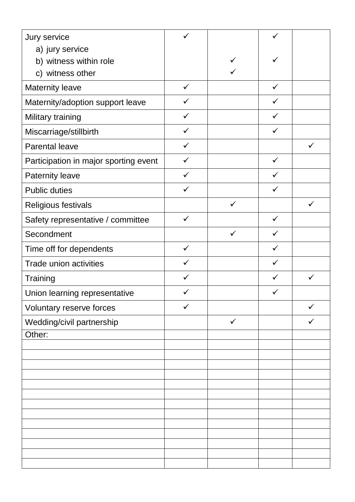| Jury service                          | ✓            |              |              |              |
|---------------------------------------|--------------|--------------|--------------|--------------|
| a) jury service                       |              |              |              |              |
| b) witness within role                |              |              | ✓            |              |
| c) witness other                      |              |              |              |              |
| <b>Maternity leave</b>                | $\checkmark$ |              | $\checkmark$ |              |
| Maternity/adoption support leave      | $\checkmark$ |              | $\checkmark$ |              |
| Military training                     | $\checkmark$ |              | $\checkmark$ |              |
| Miscarriage/stillbirth                | ✓            |              | $\checkmark$ |              |
| <b>Parental leave</b>                 | $\checkmark$ |              |              | $\checkmark$ |
| Participation in major sporting event | $\checkmark$ |              | $\checkmark$ |              |
| <b>Paternity leave</b>                | ✓            |              |              |              |
| <b>Public duties</b>                  | $\checkmark$ |              | $\checkmark$ |              |
| Religious festivals                   |              | $\checkmark$ |              | $\checkmark$ |
| Safety representative / committee     | $\checkmark$ |              | ✓            |              |
| Secondment                            |              |              |              |              |
| Time off for dependents               | ✓            |              |              |              |
| <b>Trade union activities</b>         | ✓            |              |              |              |
| Training                              |              |              |              |              |
| Union learning representative         |              |              |              |              |
| Voluntary reserve forces              | ✓            |              |              |              |
| Wedding/civil partnership             |              | $\checkmark$ |              |              |
| Other:                                |              |              |              |              |
|                                       |              |              |              |              |
|                                       |              |              |              |              |
|                                       |              |              |              |              |
|                                       |              |              |              |              |
|                                       |              |              |              |              |
|                                       |              |              |              |              |
|                                       |              |              |              |              |
|                                       |              |              |              |              |
|                                       |              |              |              |              |
|                                       |              |              |              |              |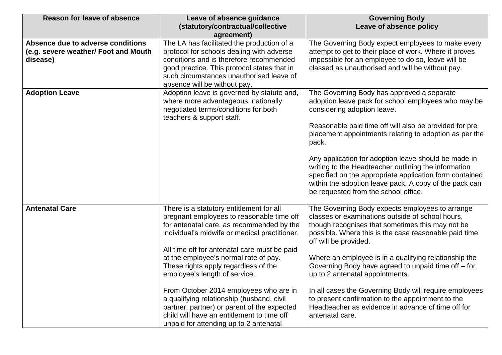| <b>Reason for leave of absence</b>                                                    | Leave of absence guidance                                                                                                                                                                                                                                                                                                                                                                                                                                                                                                                                                           | <b>Governing Body</b>                                                                                                                                                                                                                                                                                                                                                                                                                                                                                                                                                                |
|---------------------------------------------------------------------------------------|-------------------------------------------------------------------------------------------------------------------------------------------------------------------------------------------------------------------------------------------------------------------------------------------------------------------------------------------------------------------------------------------------------------------------------------------------------------------------------------------------------------------------------------------------------------------------------------|--------------------------------------------------------------------------------------------------------------------------------------------------------------------------------------------------------------------------------------------------------------------------------------------------------------------------------------------------------------------------------------------------------------------------------------------------------------------------------------------------------------------------------------------------------------------------------------|
|                                                                                       | (statutory/contractual/collective<br>agreement)                                                                                                                                                                                                                                                                                                                                                                                                                                                                                                                                     | Leave of absence policy                                                                                                                                                                                                                                                                                                                                                                                                                                                                                                                                                              |
| Absence due to adverse conditions<br>(e.g. severe weather/ Foot and Mouth<br>disease) | The LA has facilitated the production of a<br>protocol for schools dealing with adverse<br>conditions and is therefore recommended<br>good practice. This protocol states that in<br>such circumstances unauthorised leave of<br>absence will be without pay.                                                                                                                                                                                                                                                                                                                       | The Governing Body expect employees to make every<br>attempt to get to their place of work. Where it proves<br>impossible for an employee to do so, leave will be<br>classed as unauthorised and will be without pay.                                                                                                                                                                                                                                                                                                                                                                |
| <b>Adoption Leave</b>                                                                 | Adoption leave is governed by statute and,<br>where more advantageous, nationally<br>negotiated terms/conditions for both<br>teachers & support staff.                                                                                                                                                                                                                                                                                                                                                                                                                              | The Governing Body has approved a separate<br>adoption leave pack for school employees who may be<br>considering adoption leave.<br>Reasonable paid time off will also be provided for pre<br>placement appointments relating to adoption as per the<br>pack.<br>Any application for adoption leave should be made in<br>writing to the Headteacher outlining the information<br>specified on the appropriate application form contained<br>within the adoption leave pack. A copy of the pack can<br>be requested from the school office.                                           |
| <b>Antenatal Care</b>                                                                 | There is a statutory entitlement for all<br>pregnant employees to reasonable time off<br>for antenatal care, as recommended by the<br>individual's midwife or medical practitioner.<br>All time off for antenatal care must be paid<br>at the employee's normal rate of pay.<br>These rights apply regardless of the<br>employee's length of service.<br>From October 2014 employees who are in<br>a qualifying relationship (husband, civil<br>partner, partner) or parent of the expected<br>child will have an entitlement to time off<br>unpaid for attending up to 2 antenatal | The Governing Body expects employees to arrange<br>classes or examinations outside of school hours,<br>though recognises that sometimes this may not be<br>possible. Where this is the case reasonable paid time<br>off will be provided.<br>Where an employee is in a qualifying relationship the<br>Governing Body have agreed to unpaid time off - for<br>up to 2 antenatal appointments.<br>In all cases the Governing Body will require employees<br>to present confirmation to the appointment to the<br>Headteacher as evidence in advance of time off for<br>antenatal care. |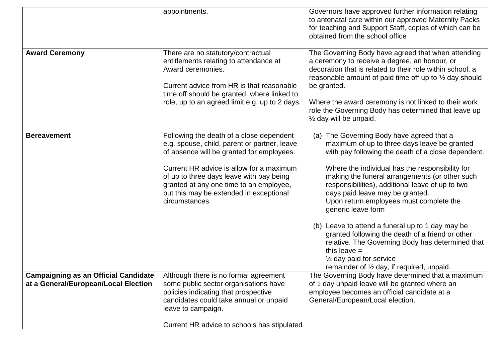|                                                                                     | appointments.                                                                                                                                                                                                                                                                                                                         | Governors have approved further information relating<br>to antenatal care within our approved Maternity Packs<br>for teaching and Support Staff, copies of which can be<br>obtained from the school office                                                                                                                                                                                                                                                                                                                                                                                                                                                                                     |
|-------------------------------------------------------------------------------------|---------------------------------------------------------------------------------------------------------------------------------------------------------------------------------------------------------------------------------------------------------------------------------------------------------------------------------------|------------------------------------------------------------------------------------------------------------------------------------------------------------------------------------------------------------------------------------------------------------------------------------------------------------------------------------------------------------------------------------------------------------------------------------------------------------------------------------------------------------------------------------------------------------------------------------------------------------------------------------------------------------------------------------------------|
| <b>Award Ceremony</b>                                                               | There are no statutory/contractual<br>entitlements relating to attendance at<br>Award ceremonies.<br>Current advice from HR is that reasonable<br>time off should be granted, where linked to<br>role, up to an agreed limit e.g. up to 2 days.                                                                                       | The Governing Body have agreed that when attending<br>a ceremony to receive a degree, an honour, or<br>decoration that is related to their role within school, a<br>reasonable amount of paid time off up to $\frac{1}{2}$ day should<br>be granted.<br>Where the award ceremony is not linked to their work<br>role the Governing Body has determined that leave up<br>$\frac{1}{2}$ day will be unpaid.                                                                                                                                                                                                                                                                                      |
| <b>Bereavement</b>                                                                  | Following the death of a close dependent<br>e.g. spouse, child, parent or partner, leave<br>of absence will be granted for employees.<br>Current HR advice is allow for a maximum<br>of up to three days leave with pay being<br>granted at any one time to an employee,<br>but this may be extended in exceptional<br>circumstances. | The Governing Body have agreed that a<br>(a)<br>maximum of up to three days leave be granted<br>with pay following the death of a close dependent.<br>Where the individual has the responsibility for<br>making the funeral arrangements (or other such<br>responsibilities), additional leave of up to two<br>days paid leave may be granted.<br>Upon return employees must complete the<br>generic leave form<br>Leave to attend a funeral up to 1 day may be<br>(b)<br>granted following the death of a friend or other<br>relative. The Governing Body has determined that<br>this leave $=$<br>$\frac{1}{2}$ day paid for service<br>remainder of $\frac{1}{2}$ day, if required, unpaid. |
| <b>Campaigning as an Official Candidate</b><br>at a General/European/Local Election | Although there is no formal agreement<br>some public sector organisations have<br>policies indicating that prospective<br>candidates could take annual or unpaid<br>leave to campaign.<br>Current HR advice to schools has stipulated                                                                                                 | The Governing Body have determined that a maximum<br>of 1 day unpaid leave will be granted where an<br>employee becomes an official candidate at a<br>General/European/Local election.                                                                                                                                                                                                                                                                                                                                                                                                                                                                                                         |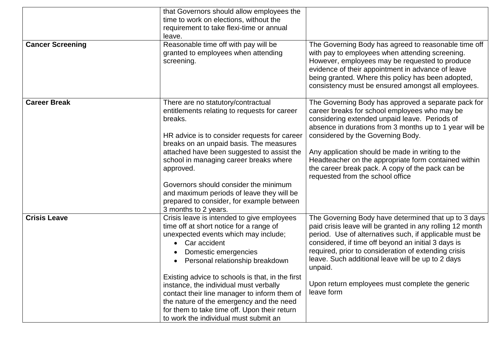|                         | that Governors should allow employees the                                            |                                                                                                           |
|-------------------------|--------------------------------------------------------------------------------------|-----------------------------------------------------------------------------------------------------------|
|                         | time to work on elections, without the                                               |                                                                                                           |
|                         | requirement to take flexi-time or annual                                             |                                                                                                           |
|                         | leave.                                                                               |                                                                                                           |
| <b>Cancer Screening</b> | Reasonable time off with pay will be                                                 | The Governing Body has agreed to reasonable time off<br>with pay to employees when attending screening.   |
|                         | granted to employees when attending<br>screening.                                    | However, employees may be requested to produce                                                            |
|                         |                                                                                      | evidence of their appointment in advance of leave                                                         |
|                         |                                                                                      | being granted. Where this policy has been adopted,                                                        |
|                         |                                                                                      | consistency must be ensured amongst all employees.                                                        |
|                         |                                                                                      |                                                                                                           |
| <b>Career Break</b>     | There are no statutory/contractual                                                   | The Governing Body has approved a separate pack for                                                       |
|                         | entitlements relating to requests for career                                         | career breaks for school employees who may be                                                             |
|                         | breaks.                                                                              | considering extended unpaid leave. Periods of                                                             |
|                         |                                                                                      | absence in durations from 3 months up to 1 year will be                                                   |
|                         | HR advice is to consider requests for career                                         | considered by the Governing Body.                                                                         |
|                         | breaks on an unpaid basis. The measures                                              |                                                                                                           |
|                         | attached have been suggested to assist the<br>school in managing career breaks where | Any application should be made in writing to the<br>Headteacher on the appropriate form contained within  |
|                         | approved.                                                                            | the career break pack. A copy of the pack can be                                                          |
|                         |                                                                                      | requested from the school office                                                                          |
|                         | Governors should consider the minimum                                                |                                                                                                           |
|                         | and maximum periods of leave they will be                                            |                                                                                                           |
|                         | prepared to consider, for example between                                            |                                                                                                           |
|                         | 3 months to 2 years.                                                                 |                                                                                                           |
| <b>Crisis Leave</b>     | Crisis leave is intended to give employees                                           | The Governing Body have determined that up to 3 days                                                      |
|                         | time off at short notice for a range of                                              | paid crisis leave will be granted in any rolling 12 month                                                 |
|                         | unexpected events which may include;                                                 | period. Use of alternatives such, if applicable must be                                                   |
|                         | Car accident                                                                         | considered, if time off beyond an initial 3 days is                                                       |
|                         | Domestic emergencies                                                                 | required, prior to consideration of extending crisis<br>leave. Such additional leave will be up to 2 days |
|                         | Personal relationship breakdown                                                      | unpaid.                                                                                                   |
|                         | Existing advice to schools is that, in the first                                     |                                                                                                           |
|                         | instance, the individual must verbally                                               | Upon return employees must complete the generic                                                           |
|                         | contact their line manager to inform them of                                         | leave form                                                                                                |
|                         | the nature of the emergency and the need                                             |                                                                                                           |
|                         | for them to take time off. Upon their return                                         |                                                                                                           |
|                         | to work the individual must submit an                                                |                                                                                                           |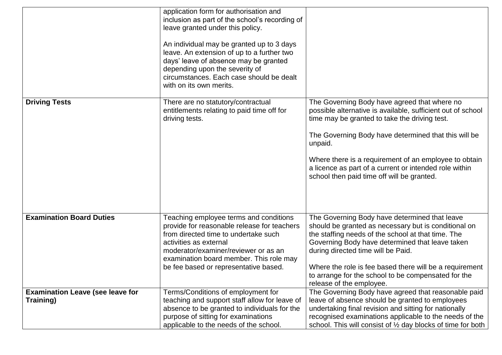|                                                      | application form for authorisation and<br>inclusion as part of the school's recording of<br>leave granted under this policy.<br>An individual may be granted up to 3 days<br>leave. An extension of up to a further two<br>days' leave of absence may be granted<br>depending upon the severity of<br>circumstances. Each case should be dealt<br>with on its own merits. |                                                                                                                                                                                                                                                                                                                                                                                                    |
|------------------------------------------------------|---------------------------------------------------------------------------------------------------------------------------------------------------------------------------------------------------------------------------------------------------------------------------------------------------------------------------------------------------------------------------|----------------------------------------------------------------------------------------------------------------------------------------------------------------------------------------------------------------------------------------------------------------------------------------------------------------------------------------------------------------------------------------------------|
| <b>Driving Tests</b>                                 | There are no statutory/contractual<br>entitlements relating to paid time off for<br>driving tests.                                                                                                                                                                                                                                                                        | The Governing Body have agreed that where no<br>possible alternative is available, sufficient out of school<br>time may be granted to take the driving test.<br>The Governing Body have determined that this will be<br>unpaid.<br>Where there is a requirement of an employee to obtain<br>a licence as part of a current or intended role within<br>school then paid time off will be granted.   |
| <b>Examination Board Duties</b>                      | Teaching employee terms and conditions<br>provide for reasonable release for teachers<br>from directed time to undertake such<br>activities as external<br>moderator/examiner/reviewer or as an<br>examination board member. This role may<br>be fee based or representative based.                                                                                       | The Governing Body have determined that leave<br>should be granted as necessary but is conditional on<br>the staffing needs of the school at that time. The<br>Governing Body have determined that leave taken<br>during directed time will be Paid.<br>Where the role is fee based there will be a requirement<br>to arrange for the school to be compensated for the<br>release of the employee. |
| <b>Examination Leave (see leave for</b><br>Training) | Terms/Conditions of employment for<br>teaching and support staff allow for leave of<br>absence to be granted to individuals for the<br>purpose of sitting for examinations<br>applicable to the needs of the school.                                                                                                                                                      | The Governing Body have agreed that reasonable paid<br>leave of absence should be granted to employees<br>undertaking final revision and sitting for nationally<br>recognised examinations applicable to the needs of the<br>school. This will consist of 1/2 day blocks of time for both                                                                                                          |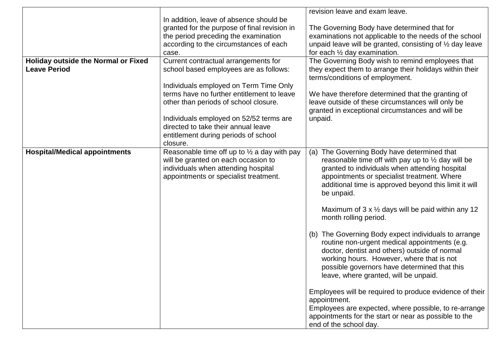|                                                                   |                                                                                                                                                                               | revision leave and exam leave.                                                                                                                                                                                                                                                               |
|-------------------------------------------------------------------|-------------------------------------------------------------------------------------------------------------------------------------------------------------------------------|----------------------------------------------------------------------------------------------------------------------------------------------------------------------------------------------------------------------------------------------------------------------------------------------|
|                                                                   | In addition, leave of absence should be<br>granted for the purpose of final revision in<br>the period preceding the examination                                               | The Governing Body have determined that for<br>examinations not applicable to the needs of the school                                                                                                                                                                                        |
|                                                                   | according to the circumstances of each<br>case.                                                                                                                               | unpaid leave will be granted, consisting of $\frac{1}{2}$ day leave<br>for each $\frac{1}{2}$ day examination.                                                                                                                                                                               |
| <b>Holiday outside the Normal or Fixed</b><br><b>Leave Period</b> | Current contractual arrangements for<br>school based employees are as follows:<br>Individuals employed on Term Time Only                                                      | The Governing Body wish to remind employees that<br>they expect them to arrange their holidays within their<br>terms/conditions of employment.                                                                                                                                               |
|                                                                   | terms have no further entitlement to leave<br>other than periods of school closure.<br>Individuals employed on 52/52 terms are                                                | We have therefore determined that the granting of<br>leave outside of these circumstances will only be<br>granted in exceptional circumstances and will be<br>unpaid.                                                                                                                        |
|                                                                   | directed to take their annual leave<br>entitlement during periods of school<br>closure.                                                                                       |                                                                                                                                                                                                                                                                                              |
| <b>Hospital/Medical appointments</b>                              | Reasonable time off up to $\frac{1}{2}$ a day with pay<br>will be granted on each occasion to<br>individuals when attending hospital<br>appointments or specialist treatment. | The Governing Body have determined that<br>(a)<br>reasonable time off with pay up to $\frac{1}{2}$ day will be<br>granted to individuals when attending hospital<br>appointments or specialist treatment. Where<br>additional time is approved beyond this limit it will<br>be unpaid.       |
|                                                                   |                                                                                                                                                                               | Maximum of $3 \times \frac{1}{2}$ days will be paid within any 12<br>month rolling period.                                                                                                                                                                                                   |
|                                                                   |                                                                                                                                                                               | (b) The Governing Body expect individuals to arrange<br>routine non-urgent medical appointments (e.g.<br>doctor, dentist and others) outside of normal<br>working hours. However, where that is not<br>possible governors have determined that this<br>leave, where granted, will be unpaid. |
|                                                                   |                                                                                                                                                                               | Employees will be required to produce evidence of their<br>appointment.<br>Employees are expected, where possible, to re-arrange<br>appointments for the start or near as possible to the<br>end of the school day.                                                                          |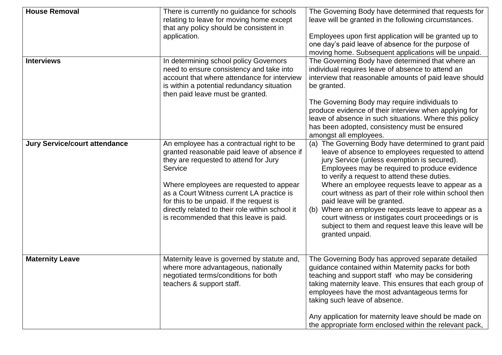| <b>House Removal</b>                 | There is currently no guidance for schools<br>relating to leave for moving home except<br>that any policy should be consistent in<br>application.                                                                                                                                                                                                                              | The Governing Body have determined that requests for<br>leave will be granted in the following circumstances.<br>Employees upon first application will be granted up to<br>one day's paid leave of absence for the purpose of<br>moving home. Subsequent applications will be unpaid.                                                                                                                                                                                                                                                                                                            |
|--------------------------------------|--------------------------------------------------------------------------------------------------------------------------------------------------------------------------------------------------------------------------------------------------------------------------------------------------------------------------------------------------------------------------------|--------------------------------------------------------------------------------------------------------------------------------------------------------------------------------------------------------------------------------------------------------------------------------------------------------------------------------------------------------------------------------------------------------------------------------------------------------------------------------------------------------------------------------------------------------------------------------------------------|
| <b>Interviews</b>                    | In determining school policy Governors<br>need to ensure consistency and take into<br>account that where attendance for interview<br>is within a potential redundancy situation<br>then paid leave must be granted.                                                                                                                                                            | The Governing Body have determined that where an<br>individual requires leave of absence to attend an<br>interview that reasonable amounts of paid leave should<br>be granted.<br>The Governing Body may require individuals to<br>produce evidence of their interview when applying for<br>leave of absence in such situations. Where this policy<br>has been adopted, consistency must be ensured<br>amongst all employees.                                                                                                                                                                    |
| <b>Jury Service/court attendance</b> | An employee has a contractual right to be<br>granted reasonable paid leave of absence if<br>they are requested to attend for Jury<br>Service<br>Where employees are requested to appear<br>as a Court Witness current LA practice is<br>for this to be unpaid. If the request is<br>directly related to their role within school it<br>is recommended that this leave is paid. | The Governing Body have determined to grant paid<br>(a)<br>leave of absence to employees requested to attend<br>jury Service (unless exemption is secured).<br>Employees may be required to produce evidence<br>to verify a request to attend these duties.<br>Where an employee requests leave to appear as a<br>court witness as part of their role within school then<br>paid leave will be granted.<br>(b) Where an employee requests leave to appear as a<br>court witness or instigates court proceedings or is<br>subject to them and request leave this leave will be<br>granted unpaid. |
| <b>Maternity Leave</b>               | Maternity leave is governed by statute and,<br>where more advantageous, nationally<br>negotiated terms/conditions for both<br>teachers & support staff.                                                                                                                                                                                                                        | The Governing Body has approved separate detailed<br>guidance contained within Maternity packs for both<br>teaching and support staff who may be considering<br>taking maternity leave. This ensures that each group of<br>employees have the most advantageous terms for<br>taking such leave of absence.<br>Any application for maternity leave should be made on<br>the appropriate form enclosed within the relevant pack,                                                                                                                                                                   |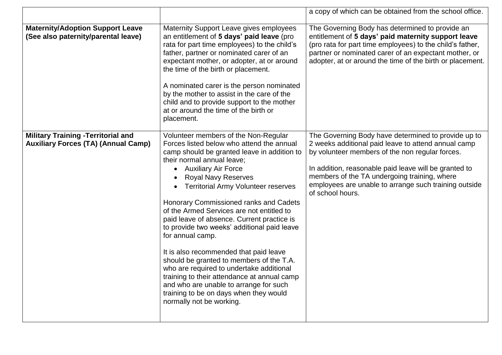|                                                                                         |                                                                                                                                                                                                                                                                                                                                                                                                                                                                                                                                                                                                                                                                                                                                                                                   | a copy of which can be obtained from the school office.                                                                                                                                                                                                                                                                                             |
|-----------------------------------------------------------------------------------------|-----------------------------------------------------------------------------------------------------------------------------------------------------------------------------------------------------------------------------------------------------------------------------------------------------------------------------------------------------------------------------------------------------------------------------------------------------------------------------------------------------------------------------------------------------------------------------------------------------------------------------------------------------------------------------------------------------------------------------------------------------------------------------------|-----------------------------------------------------------------------------------------------------------------------------------------------------------------------------------------------------------------------------------------------------------------------------------------------------------------------------------------------------|
| <b>Maternity/Adoption Support Leave</b><br>(See also paternity/parental leave)          | <b>Maternity Support Leave gives employees</b><br>an entitlement of 5 days' paid leave (pro<br>rata for part time employees) to the child's<br>father, partner or nominated carer of an<br>expectant mother, or adopter, at or around<br>the time of the birth or placement.<br>A nominated carer is the person nominated<br>by the mother to assist in the care of the<br>child and to provide support to the mother<br>at or around the time of the birth or<br>placement.                                                                                                                                                                                                                                                                                                      | The Governing Body has determined to provide an<br>entitlement of 5 days' paid maternity support leave<br>(pro rata for part time employees) to the child's father,<br>partner or nominated carer of an expectant mother, or<br>adopter, at or around the time of the birth or placement.                                                           |
| <b>Military Training -Territorial and</b><br><b>Auxiliary Forces (TA) (Annual Camp)</b> | Volunteer members of the Non-Regular<br>Forces listed below who attend the annual<br>camp should be granted leave in addition to<br>their normal annual leave;<br><b>Auxiliary Air Force</b><br><b>Royal Navy Reserves</b><br><b>Territorial Army Volunteer reserves</b><br>Honorary Commissioned ranks and Cadets<br>of the Armed Services are not entitled to<br>paid leave of absence. Current practice is<br>to provide two weeks' additional paid leave<br>for annual camp.<br>It is also recommended that paid leave<br>should be granted to members of the T.A.<br>who are required to undertake additional<br>training to their attendance at annual camp<br>and who are unable to arrange for such<br>training to be on days when they would<br>normally not be working. | The Governing Body have determined to provide up to<br>2 weeks additional paid leave to attend annual camp<br>by volunteer members of the non regular forces.<br>In addition, reasonable paid leave will be granted to<br>members of the TA undergoing training, where<br>employees are unable to arrange such training outside<br>of school hours. |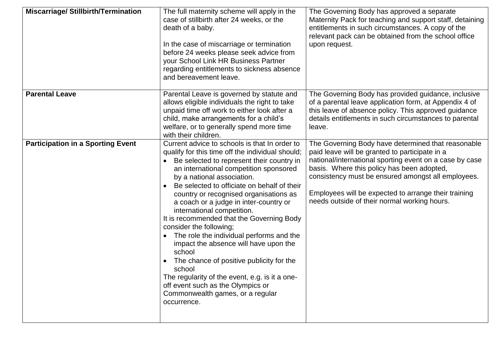| <b>Miscarriage/ Stillbirth/Termination</b> | The full maternity scheme will apply in the<br>case of stillbirth after 24 weeks, or the<br>death of a baby.<br>In the case of miscarriage or termination<br>before 24 weeks please seek advice from<br>your School Link HR Business Partner<br>regarding entitlements to sickness absence<br>and bereavement leave.                                                                                                                                                                                                                                                                                                                                                                                                                                           | The Governing Body has approved a separate<br>Maternity Pack for teaching and support staff, detaining<br>entitlements in such circumstances. A copy of the<br>relevant pack can be obtained from the school office<br>upon request.                                                                                                                                        |
|--------------------------------------------|----------------------------------------------------------------------------------------------------------------------------------------------------------------------------------------------------------------------------------------------------------------------------------------------------------------------------------------------------------------------------------------------------------------------------------------------------------------------------------------------------------------------------------------------------------------------------------------------------------------------------------------------------------------------------------------------------------------------------------------------------------------|-----------------------------------------------------------------------------------------------------------------------------------------------------------------------------------------------------------------------------------------------------------------------------------------------------------------------------------------------------------------------------|
| <b>Parental Leave</b>                      | Parental Leave is governed by statute and<br>allows eligible individuals the right to take<br>unpaid time off work to either look after a<br>child, make arrangements for a child's<br>welfare, or to generally spend more time<br>with their children.                                                                                                                                                                                                                                                                                                                                                                                                                                                                                                        | The Governing Body has provided guidance, inclusive<br>of a parental leave application form, at Appendix 4 of<br>this leave of absence policy. This approved guidance<br>details entitlements in such circumstances to parental<br>leave.                                                                                                                                   |
| <b>Participation in a Sporting Event</b>   | Current advice to schools is that In order to<br>qualify for this time off the individual should;<br>Be selected to represent their country in<br>an international competition sponsored<br>by a national association.<br>Be selected to officiate on behalf of their<br>country or recognised organisations as<br>a coach or a judge in inter-country or<br>international competition.<br>It is recommended that the Governing Body<br>consider the following;<br>The role the individual performs and the<br>impact the absence will have upon the<br>school<br>The chance of positive publicity for the<br>school<br>The regularity of the event, e.g. is it a one-<br>off event such as the Olympics or<br>Commonwealth games, or a regular<br>occurrence. | The Governing Body have determined that reasonable<br>paid leave will be granted to participate in a<br>national/international sporting event on a case by case<br>basis. Where this policy has been adopted,<br>consistency must be ensured amongst all employees.<br>Employees will be expected to arrange their training<br>needs outside of their normal working hours. |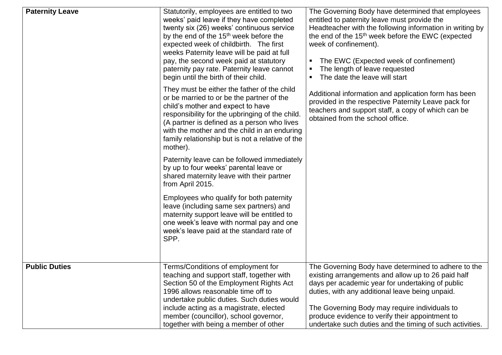| <b>Paternity Leave</b> | Statutorily, employees are entitled to two<br>weeks' paid leave if they have completed<br>twenty six (26) weeks' continuous service<br>by the end of the 15 <sup>th</sup> week before the<br>expected week of childbirth. The first<br>weeks Paternity leave will be paid at full<br>pay, the second week paid at statutory<br>paternity pay rate. Paternity leave cannot<br>begin until the birth of their child.<br>They must be either the father of the child<br>or be married to or be the partner of the<br>child's mother and expect to have<br>responsibility for the upbringing of the child.<br>(A partner is defined as a person who lives<br>with the mother and the child in an enduring<br>family relationship but is not a relative of the<br>mother).<br>Paternity leave can be followed immediately<br>by up to four weeks' parental leave or<br>shared maternity leave with their partner<br>from April 2015.<br>Employees who qualify for both paternity<br>leave (including same sex partners) and<br>maternity support leave will be entitled to<br>one week's leave with normal pay and one<br>week's leave paid at the standard rate of<br>SPP. | The Governing Body have determined that employees<br>entitled to paternity leave must provide the<br>Headteacher with the following information in writing by<br>the end of the 15 <sup>th</sup> week before the EWC (expected<br>week of confinement).<br>The EWC (Expected week of confinement)<br>п<br>The length of leave requested<br>ш<br>The date the leave will start<br>٠<br>Additional information and application form has been<br>provided in the respective Paternity Leave pack for<br>teachers and support staff, a copy of which can be<br>obtained from the school office. |
|------------------------|------------------------------------------------------------------------------------------------------------------------------------------------------------------------------------------------------------------------------------------------------------------------------------------------------------------------------------------------------------------------------------------------------------------------------------------------------------------------------------------------------------------------------------------------------------------------------------------------------------------------------------------------------------------------------------------------------------------------------------------------------------------------------------------------------------------------------------------------------------------------------------------------------------------------------------------------------------------------------------------------------------------------------------------------------------------------------------------------------------------------------------------------------------------------|---------------------------------------------------------------------------------------------------------------------------------------------------------------------------------------------------------------------------------------------------------------------------------------------------------------------------------------------------------------------------------------------------------------------------------------------------------------------------------------------------------------------------------------------------------------------------------------------|
| <b>Public Duties</b>   | Terms/Conditions of employment for<br>teaching and support staff, together with<br>Section 50 of the Employment Rights Act<br>1996 allows reasonable time off to<br>undertake public duties. Such duties would<br>include acting as a magistrate, elected<br>member (councillor), school governor,<br>together with being a member of other                                                                                                                                                                                                                                                                                                                                                                                                                                                                                                                                                                                                                                                                                                                                                                                                                            | The Governing Body have determined to adhere to the<br>existing arrangements and allow up to 26 paid half<br>days per academic year for undertaking of public<br>duties, with any additional leave being unpaid.<br>The Governing Body may require individuals to<br>produce evidence to verify their appointment to<br>undertake such duties and the timing of such activities.                                                                                                                                                                                                            |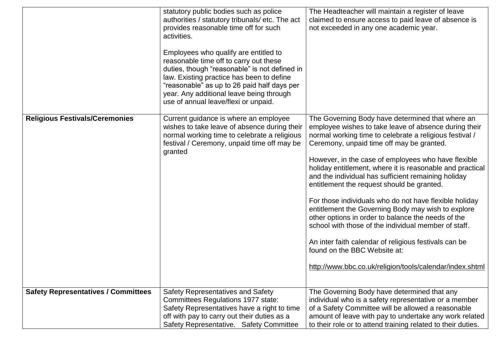|                                            | statutory public bodies such as police<br>authorities / statutory tribunals/ etc. The act<br>provides reasonable time off for such<br>activities.<br>Employees who qualify are entitled to<br>reasonable time off to carry out these<br>duties, though "reasonable" is not defined in<br>law. Existing practice has been to define<br>"reasonable" as up to 26 paid half days per<br>year. Any additional leave being through<br>use of annual leave/flexi or unpaid. | The Headteacher will maintain a register of leave<br>claimed to ensure access to paid leave of absence is<br>not exceeded in any one academic year.                                                                                                                                                                                                                                                                                                                                                                                                                                                                                                                                                                                                                                                                           |
|--------------------------------------------|-----------------------------------------------------------------------------------------------------------------------------------------------------------------------------------------------------------------------------------------------------------------------------------------------------------------------------------------------------------------------------------------------------------------------------------------------------------------------|-------------------------------------------------------------------------------------------------------------------------------------------------------------------------------------------------------------------------------------------------------------------------------------------------------------------------------------------------------------------------------------------------------------------------------------------------------------------------------------------------------------------------------------------------------------------------------------------------------------------------------------------------------------------------------------------------------------------------------------------------------------------------------------------------------------------------------|
| <b>Religious Festivals/Ceremonies</b>      | Current guidance is where an employee<br>wishes to take leave of absence during their<br>normal working time to celebrate a religious<br>festival / Ceremony, unpaid time off may be<br>granted                                                                                                                                                                                                                                                                       | The Governing Body have determined that where an<br>employee wishes to take leave of absence during their<br>normal working time to celebrate a religious festival /<br>Ceremony, unpaid time off may be granted.<br>However, in the case of employees who have flexible<br>holiday entitlement, where it is reasonable and practical<br>and the individual has sufficient remaining holiday<br>entitlement the request should be granted.<br>For those individuals who do not have flexible holiday<br>entitlement the Governing Body may wish to explore<br>other options in order to balance the needs of the<br>school with those of the individual member of staff.<br>An inter faith calendar of religious festivals can be<br>found on the BBC Website at:<br>http://www.bbc.co.uk/religion/tools/calendar/index.shtml |
| <b>Safety Representatives / Committees</b> | <b>Safety Representatives and Safety</b><br>Committees Regulations 1977 state:<br>Safety Representatives have a right to time<br>off with pay to carry out their duties as a<br>Safety Representative. Safety Committee                                                                                                                                                                                                                                               | The Governing Body have determined that any<br>individual who is a safety representative or a member<br>of a Safety Committee will be allowed a reasonable<br>amount of leave with pay to undertake any work related<br>to their role or to attend training related to their duties.                                                                                                                                                                                                                                                                                                                                                                                                                                                                                                                                          |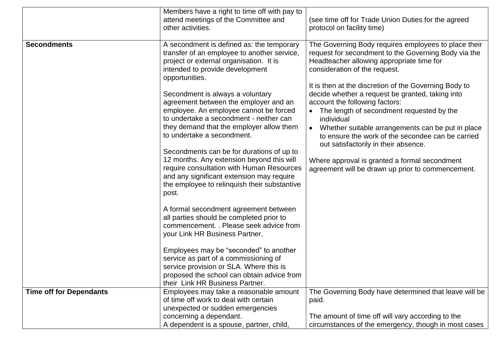|                                | Members have a right to time off with pay to                                                                                                                                                                                                                                                                                                                                                                                                                                                                                                                                                                                                                                                                                                                                                                                                                                                                                                                                                                                                                       |                                                                                                                                                                                                                                                                                                                                                                                                                                                                                                                                                                                                                                                                             |
|--------------------------------|--------------------------------------------------------------------------------------------------------------------------------------------------------------------------------------------------------------------------------------------------------------------------------------------------------------------------------------------------------------------------------------------------------------------------------------------------------------------------------------------------------------------------------------------------------------------------------------------------------------------------------------------------------------------------------------------------------------------------------------------------------------------------------------------------------------------------------------------------------------------------------------------------------------------------------------------------------------------------------------------------------------------------------------------------------------------|-----------------------------------------------------------------------------------------------------------------------------------------------------------------------------------------------------------------------------------------------------------------------------------------------------------------------------------------------------------------------------------------------------------------------------------------------------------------------------------------------------------------------------------------------------------------------------------------------------------------------------------------------------------------------------|
|                                | attend meetings of the Committee and<br>other activities.                                                                                                                                                                                                                                                                                                                                                                                                                                                                                                                                                                                                                                                                                                                                                                                                                                                                                                                                                                                                          | (see time off for Trade Union Duties for the agreed<br>protocol on facility time)                                                                                                                                                                                                                                                                                                                                                                                                                                                                                                                                                                                           |
| <b>Secondments</b>             | A secondment is defined as: the temporary<br>transfer of an employee to another service,<br>project or external organisation. It is<br>intended to provide development<br>opportunities.<br>Secondment is always a voluntary<br>agreement between the employer and an<br>employee. An employee cannot be forced<br>to undertake a secondment - neither can<br>they demand that the employer allow them<br>to undertake a secondment.<br>Secondments can be for durations of up to<br>12 months. Any extension beyond this will<br>require consultation with Human Resources<br>and any significant extension may require<br>the employee to relinquish their substantive<br>post.<br>A formal secondment agreement between<br>all parties should be completed prior to<br>commencement. . Please seek advice from<br>your Link HR Business Partner.<br>Employees may be "seconded" to another<br>service as part of a commissioning of<br>service provision or SLA. Where this is<br>proposed the school can obtain advice from<br>their Link HR Business Partner. | The Governing Body requires employees to place their<br>request for secondment to the Governing Body via the<br>Headteacher allowing appropriate time for<br>consideration of the request.<br>It is then at the discretion of the Governing Body to<br>decide whether a request be granted, taking into<br>account the following factors:<br>• The length of secondment requested by the<br>individual<br>Whether suitable arrangements can be put in place<br>$\bullet$<br>to ensure the work of the secondee can be carried<br>out satisfactorily in their absence.<br>Where approval is granted a formal secondment<br>agreement will be drawn up prior to commencement. |
| <b>Time off for Dependants</b> | Employees may take a reasonable amount                                                                                                                                                                                                                                                                                                                                                                                                                                                                                                                                                                                                                                                                                                                                                                                                                                                                                                                                                                                                                             | The Governing Body have determined that leave will be                                                                                                                                                                                                                                                                                                                                                                                                                                                                                                                                                                                                                       |
|                                | of time off work to deal with certain                                                                                                                                                                                                                                                                                                                                                                                                                                                                                                                                                                                                                                                                                                                                                                                                                                                                                                                                                                                                                              | paid.                                                                                                                                                                                                                                                                                                                                                                                                                                                                                                                                                                                                                                                                       |
|                                | unexpected or sudden emergencies                                                                                                                                                                                                                                                                                                                                                                                                                                                                                                                                                                                                                                                                                                                                                                                                                                                                                                                                                                                                                                   |                                                                                                                                                                                                                                                                                                                                                                                                                                                                                                                                                                                                                                                                             |
|                                | concerning a dependant.                                                                                                                                                                                                                                                                                                                                                                                                                                                                                                                                                                                                                                                                                                                                                                                                                                                                                                                                                                                                                                            | The amount of time off will vary according to the                                                                                                                                                                                                                                                                                                                                                                                                                                                                                                                                                                                                                           |
|                                | A dependent is a spouse, partner, child,                                                                                                                                                                                                                                                                                                                                                                                                                                                                                                                                                                                                                                                                                                                                                                                                                                                                                                                                                                                                                           | circumstances of the emergency, though in most cases                                                                                                                                                                                                                                                                                                                                                                                                                                                                                                                                                                                                                        |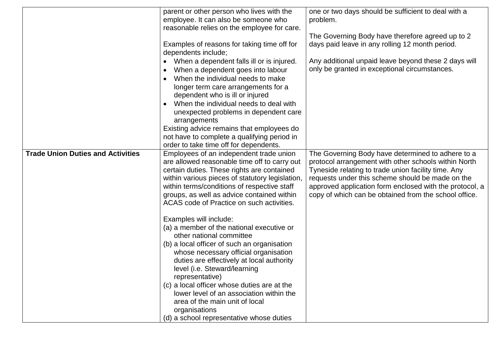|                                          | parent or other person who lives with the                           | one or two days should be sufficient to deal with a     |
|------------------------------------------|---------------------------------------------------------------------|---------------------------------------------------------|
|                                          | employee. It can also be someone who                                | problem.                                                |
|                                          | reasonable relies on the employee for care.                         |                                                         |
|                                          |                                                                     | The Governing Body have therefore agreed up to 2        |
|                                          | Examples of reasons for taking time off for                         | days paid leave in any rolling 12 month period.         |
|                                          | dependents include;                                                 |                                                         |
|                                          | When a dependent falls ill or is injured.                           | Any additional unpaid leave beyond these 2 days will    |
|                                          | When a dependent goes into labour                                   | only be granted in exceptional circumstances.           |
|                                          | When the individual needs to make                                   |                                                         |
|                                          | longer term care arrangements for a                                 |                                                         |
|                                          | dependent who is ill or injured                                     |                                                         |
|                                          | When the individual needs to deal with                              |                                                         |
|                                          | unexpected problems in dependent care                               |                                                         |
|                                          | arrangements                                                        |                                                         |
|                                          | Existing advice remains that employees do                           |                                                         |
|                                          | not have to complete a qualifying period in                         |                                                         |
|                                          | order to take time off for dependents.                              |                                                         |
| <b>Trade Union Duties and Activities</b> | Employees of an independent trade union                             | The Governing Body have determined to adhere to a       |
|                                          | are allowed reasonable time off to carry out                        | protocol arrangement with other schools within North    |
|                                          | certain duties. These rights are contained                          | Tyneside relating to trade union facility time. Any     |
|                                          | within various pieces of statutory legislation,                     | requests under this scheme should be made on the        |
|                                          | within terms/conditions of respective staff                         | approved application form enclosed with the protocol, a |
|                                          | groups, as well as advice contained within                          | copy of which can be obtained from the school office.   |
|                                          | ACAS code of Practice on such activities.                           |                                                         |
|                                          |                                                                     |                                                         |
|                                          | Examples will include:<br>(a) a member of the national executive or |                                                         |
|                                          | other national committee                                            |                                                         |
|                                          | (b) a local officer of such an organisation                         |                                                         |
|                                          | whose necessary official organisation                               |                                                         |
|                                          | duties are effectively at local authority                           |                                                         |
|                                          | level (i.e. Steward/learning                                        |                                                         |
|                                          | representative)                                                     |                                                         |
|                                          | (c) a local officer whose duties are at the                         |                                                         |
|                                          | lower level of an association within the                            |                                                         |
|                                          | area of the main unit of local                                      |                                                         |
|                                          | organisations                                                       |                                                         |
|                                          | (d) a school representative whose duties                            |                                                         |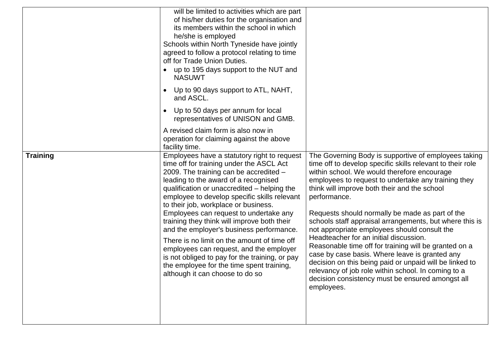|                 | will be limited to activities which are part<br>of his/her duties for the organisation and<br>its members within the school in which<br>he/she is employed<br>Schools within North Tyneside have jointly<br>agreed to follow a protocol relating to time<br>off for Trade Union Duties.<br>up to 195 days support to the NUT and<br><b>NASUWT</b><br>Up to 90 days support to ATL, NAHT,                                                                                                                                                                                                                                                                                          |                                                                                                                                                                                                                                                                                                                                                                                                                                                                                                                                                                                                                                                                                                                                                                                                 |
|-----------------|-----------------------------------------------------------------------------------------------------------------------------------------------------------------------------------------------------------------------------------------------------------------------------------------------------------------------------------------------------------------------------------------------------------------------------------------------------------------------------------------------------------------------------------------------------------------------------------------------------------------------------------------------------------------------------------|-------------------------------------------------------------------------------------------------------------------------------------------------------------------------------------------------------------------------------------------------------------------------------------------------------------------------------------------------------------------------------------------------------------------------------------------------------------------------------------------------------------------------------------------------------------------------------------------------------------------------------------------------------------------------------------------------------------------------------------------------------------------------------------------------|
|                 | and ASCL.<br>Up to 50 days per annum for local<br>representatives of UNISON and GMB.                                                                                                                                                                                                                                                                                                                                                                                                                                                                                                                                                                                              |                                                                                                                                                                                                                                                                                                                                                                                                                                                                                                                                                                                                                                                                                                                                                                                                 |
|                 | A revised claim form is also now in<br>operation for claiming against the above<br>facility time.                                                                                                                                                                                                                                                                                                                                                                                                                                                                                                                                                                                 |                                                                                                                                                                                                                                                                                                                                                                                                                                                                                                                                                                                                                                                                                                                                                                                                 |
| <b>Training</b> | Employees have a statutory right to request<br>time off for training under the ASCL Act<br>2009. The training can be accredited -<br>leading to the award of a recognised<br>qualification or unaccredited – helping the<br>employee to develop specific skills relevant<br>to their job, workplace or business.<br>Employees can request to undertake any<br>training they think will improve both their<br>and the employer's business performance.<br>There is no limit on the amount of time off<br>employees can request, and the employer<br>is not obliged to pay for the training, or pay<br>the employee for the time spent training,<br>although it can choose to do so | The Governing Body is supportive of employees taking<br>time off to develop specific skills relevant to their role<br>within school. We would therefore encourage<br>employees to request to undertake any training they<br>think will improve both their and the school<br>performance.<br>Requests should normally be made as part of the<br>schools staff appraisal arrangements, but where this is<br>not appropriate employees should consult the<br>Headteacher for an initial discussion.<br>Reasonable time off for training will be granted on a<br>case by case basis. Where leave is granted any<br>decision on this being paid or unpaid will be linked to<br>relevancy of job role within school. In coming to a<br>decision consistency must be ensured amongst all<br>employees. |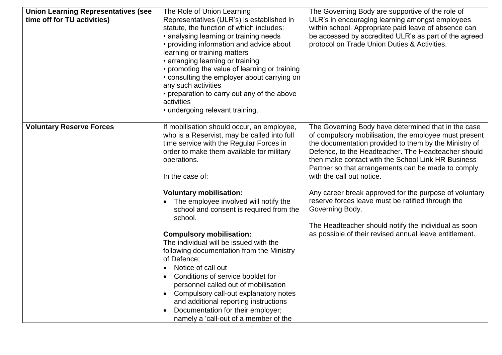| <b>Union Learning Representatives (see</b><br>time off for TU activities) | The Role of Union Learning<br>Representatives (ULR's) is established in<br>statute, the function of which includes:<br>• analysing learning or training needs<br>• providing information and advice about<br>learning or training matters<br>• arranging learning or training<br>• promoting the value of learning or training<br>• consulting the employer about carrying on<br>any such activities<br>• preparation to carry out any of the above<br>activities<br>• undergoing relevant training.                                                   | The Governing Body are supportive of the role of<br>ULR's in encouraging learning amongst employees<br>within school. Appropriate paid leave of absence can<br>be accessed by accredited ULR's as part of the agreed<br>protocol on Trade Union Duties & Activities.                                                                                                  |
|---------------------------------------------------------------------------|--------------------------------------------------------------------------------------------------------------------------------------------------------------------------------------------------------------------------------------------------------------------------------------------------------------------------------------------------------------------------------------------------------------------------------------------------------------------------------------------------------------------------------------------------------|-----------------------------------------------------------------------------------------------------------------------------------------------------------------------------------------------------------------------------------------------------------------------------------------------------------------------------------------------------------------------|
| <b>Voluntary Reserve Forces</b>                                           | If mobilisation should occur, an employee,<br>who is a Reservist, may be called into full<br>time service with the Regular Forces in<br>order to make them available for military<br>operations.<br>In the case of:                                                                                                                                                                                                                                                                                                                                    | The Governing Body have determined that in the case<br>of compulsory mobilisation, the employee must present<br>the documentation provided to them by the Ministry of<br>Defence, to the Headteacher. The Headteacher should<br>then make contact with the School Link HR Business<br>Partner so that arrangements can be made to comply<br>with the call out notice. |
|                                                                           | <b>Voluntary mobilisation:</b><br>The employee involved will notify the<br>school and consent is required from the<br>school.<br><b>Compulsory mobilisation:</b><br>The individual will be issued with the<br>following documentation from the Ministry<br>of Defence;<br>Notice of call out<br>Conditions of service booklet for<br>personnel called out of mobilisation<br>Compulsory call-out explanatory notes<br>$\bullet$<br>and additional reporting instructions<br>Documentation for their employer;<br>namely a 'call-out of a member of the | Any career break approved for the purpose of voluntary<br>reserve forces leave must be ratified through the<br>Governing Body.<br>The Headteacher should notify the individual as soon<br>as possible of their revised annual leave entitlement.                                                                                                                      |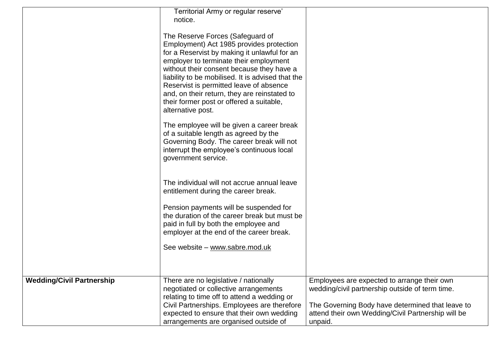|                                  | Territorial Army or regular reserve'                                                                                                                                                                                                                                                                                                                                                                                                 |                                                                                                |
|----------------------------------|--------------------------------------------------------------------------------------------------------------------------------------------------------------------------------------------------------------------------------------------------------------------------------------------------------------------------------------------------------------------------------------------------------------------------------------|------------------------------------------------------------------------------------------------|
|                                  |                                                                                                                                                                                                                                                                                                                                                                                                                                      |                                                                                                |
|                                  | notice.                                                                                                                                                                                                                                                                                                                                                                                                                              |                                                                                                |
|                                  | The Reserve Forces (Safeguard of<br>Employment) Act 1985 provides protection<br>for a Reservist by making it unlawful for an<br>employer to terminate their employment<br>without their consent because they have a<br>liability to be mobilised. It is advised that the<br>Reservist is permitted leave of absence<br>and, on their return, they are reinstated to<br>their former post or offered a suitable,<br>alternative post. |                                                                                                |
|                                  | The employee will be given a career break<br>of a suitable length as agreed by the<br>Governing Body. The career break will not<br>interrupt the employee's continuous local<br>government service.                                                                                                                                                                                                                                  |                                                                                                |
|                                  | The individual will not accrue annual leave<br>entitlement during the career break.                                                                                                                                                                                                                                                                                                                                                  |                                                                                                |
|                                  | Pension payments will be suspended for<br>the duration of the career break but must be<br>paid in full by both the employee and<br>employer at the end of the career break.                                                                                                                                                                                                                                                          |                                                                                                |
|                                  | See website - www.sabre.mod.uk                                                                                                                                                                                                                                                                                                                                                                                                       |                                                                                                |
|                                  |                                                                                                                                                                                                                                                                                                                                                                                                                                      |                                                                                                |
| <b>Wedding/Civil Partnership</b> | There are no legislative / nationally<br>negotiated or collective arrangements<br>relating to time off to attend a wedding or                                                                                                                                                                                                                                                                                                        | Employees are expected to arrange their own<br>wedding/civil partnership outside of term time. |
|                                  | Civil Partnerships. Employees are therefore                                                                                                                                                                                                                                                                                                                                                                                          | The Governing Body have determined that leave to                                               |
|                                  | expected to ensure that their own wedding                                                                                                                                                                                                                                                                                                                                                                                            | attend their own Wedding/Civil Partnership will be                                             |
|                                  | arrangements are organised outside of                                                                                                                                                                                                                                                                                                                                                                                                | unpaid.                                                                                        |
|                                  |                                                                                                                                                                                                                                                                                                                                                                                                                                      |                                                                                                |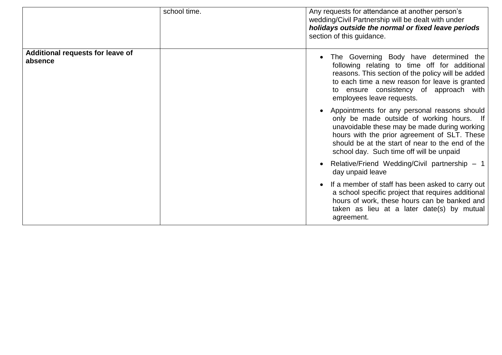|                                             | school time. | Any requests for attendance at another person's<br>wedding/Civil Partnership will be dealt with under<br>holidays outside the normal or fixed leave periods<br>section of this guidance.                                                                                                  |
|---------------------------------------------|--------------|-------------------------------------------------------------------------------------------------------------------------------------------------------------------------------------------------------------------------------------------------------------------------------------------|
| Additional requests for leave of<br>absence |              | The Governing Body have determined the<br>following relating to time off for additional<br>reasons. This section of the policy will be added<br>to each time a new reason for leave is granted<br>ensure consistency of approach with<br>employees leave requests.                        |
|                                             |              | Appointments for any personal reasons should<br>only be made outside of working hours. If<br>unavoidable these may be made during working<br>hours with the prior agreement of SLT. These<br>should be at the start of near to the end of the<br>school day. Such time off will be unpaid |
|                                             |              | Relative/Friend Wedding/Civil partnership - 1<br>day unpaid leave                                                                                                                                                                                                                         |
|                                             |              | If a member of staff has been asked to carry out<br>a school specific project that requires additional<br>hours of work, these hours can be banked and<br>taken as lieu at a later date(s) by mutual<br>agreement.                                                                        |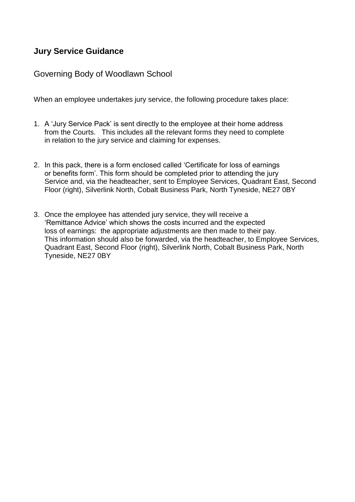## **Jury Service Guidance**

#### Governing Body of Woodlawn School

When an employee undertakes jury service, the following procedure takes place:

- 1. A 'Jury Service Pack' is sent directly to the employee at their home address from the Courts. This includes all the relevant forms they need to complete in relation to the jury service and claiming for expenses.
- 2. In this pack, there is a form enclosed called 'Certificate for loss of earnings or benefits form'. This form should be completed prior to attending the jury Service and, via the headteacher, sent to Employee Services, Quadrant East, Second Floor (right), Silverlink North, Cobalt Business Park, North Tyneside, NE27 0BY
- 3. Once the employee has attended jury service, they will receive a 'Remittance Advice' which shows the costs incurred and the expected loss of earnings: the appropriate adjustments are then made to their pay. This information should also be forwarded, via the headteacher, to Employee Services, Quadrant East, Second Floor (right), Silverlink North, Cobalt Business Park, North Tyneside, NE27 0BY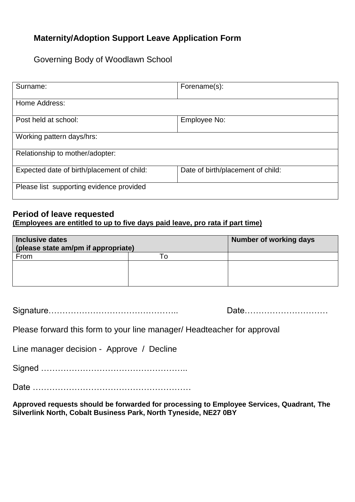# **Maternity/Adoption Support Leave Application Form**

Governing Body of Woodlawn School

| Surname:                                   | Forename(s):                      |
|--------------------------------------------|-----------------------------------|
|                                            |                                   |
| Home Address:                              |                                   |
| Post held at school:                       | Employee No:                      |
| Working pattern days/hrs:                  |                                   |
| Relationship to mother/adopter:            |                                   |
| Expected date of birth/placement of child: | Date of birth/placement of child: |
| Please list supporting evidence provided   |                                   |

#### **Period of leave requested (Employees are entitled to up to five days paid leave, pro rata if part time)**

| <b>Inclusive dates</b><br>(please state am/pm if appropriate) |    | <b>Number of working days</b> |
|---------------------------------------------------------------|----|-------------------------------|
| From                                                          | ⊤о |                               |
|                                                               |    |                               |
|                                                               |    |                               |
|                                                               |    |                               |

Signature……………………………………….. Date…………………………

|  |  |  |  | Date |
|--|--|--|--|------|
|--|--|--|--|------|

Please forward this form to your line manager/ Headteacher for approval

Line manager decision - Approve / Decline

Signed ……………………………………………..

Date …………………………………………………

**Approved requests should be forwarded for processing to Employee Services, Quadrant, The Silverlink North, Cobalt Business Park, North Tyneside, NE27 0BY**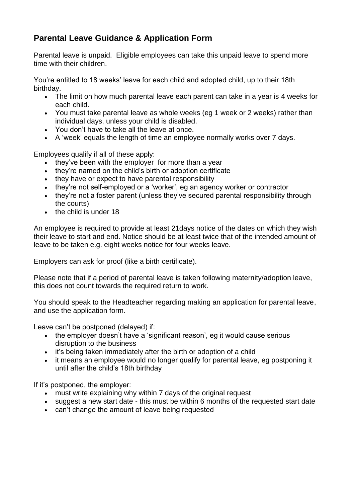# **Parental Leave Guidance & Application Form**

Parental leave is unpaid. Eligible employees can take this unpaid leave to spend more time with their children.

You're entitled to 18 weeks' leave for each child and adopted child, up to their 18th birthday.

- The limit on how much parental leave each parent can take in a year is 4 weeks for each child.
- You must take parental leave as whole weeks (eg 1 week or 2 weeks) rather than individual days, unless your child is disabled.
- You don't have to take all the leave at once.
- A 'week' equals the length of time an employee normally works over 7 days.

Employees qualify if all of these apply:

- they've been with the employer for more than a year
- they're named on the child's birth or adoption certificate
- they have or expect to have parental responsibility
- they're not self-employed or a 'worker', eg an agency worker or contractor
- they're not a foster parent (unless they've secured parental responsibility through the courts)
- $\cdot$  the child is under 18

An employee is required to provide at least 21days notice of the dates on which they wish their leave to start and end. Notice should be at least twice that of the intended amount of leave to be taken e.g. eight weeks notice for four weeks leave.

Employers can ask for proof (like a birth certificate).

Please note that if a period of parental leave is taken following maternity/adoption leave, this does not count towards the required return to work.

You should speak to the Headteacher regarding making an application for parental leave, and use the application form.

Leave can't be postponed (delayed) if:

- the employer doesn't have a 'significant reason', eg it would cause serious disruption to the business
- it's being taken immediately after the birth or adoption of a child
- it means an employee would no longer qualify for parental leave, eg postponing it until after the child's 18th birthday

If it's postponed, the employer:

- must write explaining why within 7 days of the original request
- suggest a new start date this must be within 6 months of the requested start date
- can't change the amount of leave being requested